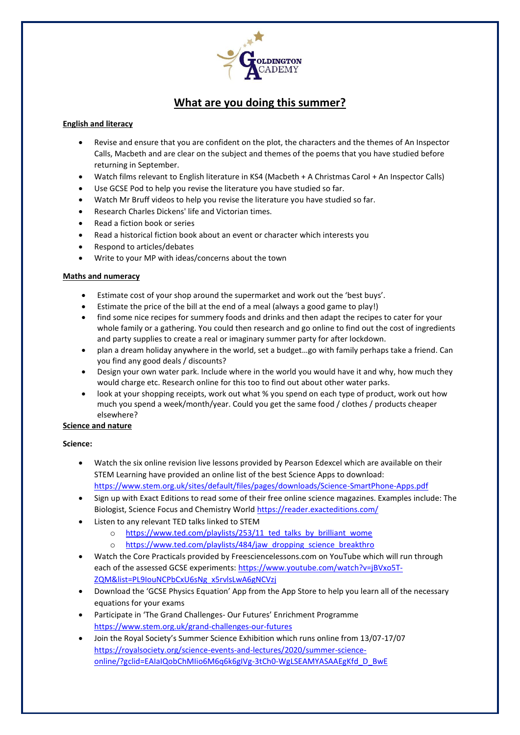

# **What are you doing this summer?**

# **English and literacy**

- Revise and ensure that you are confident on the plot, the characters and the themes of An Inspector Calls, Macbeth and are clear on the subject and themes of the poems that you have studied before returning in September.
- Watch films relevant to English literature in KS4 (Macbeth + A Christmas Carol + An Inspector Calls)
- Use GCSE Pod to help you revise the literature you have studied so far.
- Watch Mr Bruff videos to help you revise the literature you have studied so far.
- Research Charles Dickens' life and Victorian times.
- Read a fiction book or series
- Read a historical fiction book about an event or character which interests you
- Respond to articles/debates
- Write to your MP with ideas/concerns about the town

#### **Maths and numeracy**

- Estimate cost of your shop around the supermarket and work out the 'best buys'.
- Estimate the price of the bill at the end of a meal (always a good game to play!)
- find some nice recipes for summery foods and drinks and then adapt the recipes to cater for your whole family or a gathering. You could then research and go online to find out the cost of ingredients and party supplies to create a real or imaginary summer party for after lockdown.
- plan a dream holiday anywhere in the world, set a budget…go with family perhaps take a friend. Can you find any good deals / discounts?
- Design your own water park. Include where in the world you would have it and why, how much they would charge etc. Research online for this too to find out about other water parks.
- look at your shopping receipts, work out what % you spend on each type of product, work out how much you spend a week/month/year. Could you get the same food / clothes / products cheaper elsewhere?

#### **Science and nature**

### **Science:**

- Watch the six online revision live lessons provided by Pearson Edexcel which are available on their STEM Learning have provided an online list of the best Science Apps to download: <https://www.stem.org.uk/sites/default/files/pages/downloads/Science-SmartPhone-Apps.pdf>
- Sign up with Exact Editions to read some of their free online science magazines. Examples include: The Biologist, Science Focus and Chemistry World<https://reader.exacteditions.com/>
- Listen to any relevant TED talks linked to STEM
	- o [https://www.ted.com/playlists/253/11\\_ted\\_talks\\_by\\_brilliant\\_wome](https://www.ted.com/playlists/253/11_ted_talks_by_brilliant_wome)
	- o [https://www.ted.com/playlists/484/jaw\\_dropping\\_science\\_breakthro](https://www.ted.com/playlists/484/jaw_dropping_science_breakthro)
- Watch the Core Practicals provided by Freesciencelessons.com on YouTube which will run through each of the assessed GCSE experiments: [https://www.youtube.com/watch?v=jBVxo5T-](https://www.youtube.com/watch?v=jBVxo5T-ZQM&list=PL9IouNCPbCxU6sNg_x5rvlsLwA6gNCVzj)[ZQM&list=PL9IouNCPbCxU6sNg\\_x5rvlsLwA6gNCVzj](https://www.youtube.com/watch?v=jBVxo5T-ZQM&list=PL9IouNCPbCxU6sNg_x5rvlsLwA6gNCVzj)
- Download the 'GCSE Physics Equation' App from the App Store to help you learn all of the necessary equations for your exams
- Participate in 'The Grand Challenges- Our Futures' Enrichment Programme <https://www.stem.org.uk/grand-challenges-our-futures>
- Join the Royal Society's Summer Science Exhibition which runs online from 13/07-17/07 [https://royalsociety.org/science-events-and-lectures/2020/summer-science](https://royalsociety.org/science-events-and-lectures/2020/summer-science-online/?gclid=EAIaIQobChMIio6M6q6k6gIVg-3tCh0-WgLSEAMYASAAEgKfd_D_BwE)[online/?gclid=EAIaIQobChMIio6M6q6k6gIVg-3tCh0-WgLSEAMYASAAEgKfd\\_D\\_BwE](https://royalsociety.org/science-events-and-lectures/2020/summer-science-online/?gclid=EAIaIQobChMIio6M6q6k6gIVg-3tCh0-WgLSEAMYASAAEgKfd_D_BwE)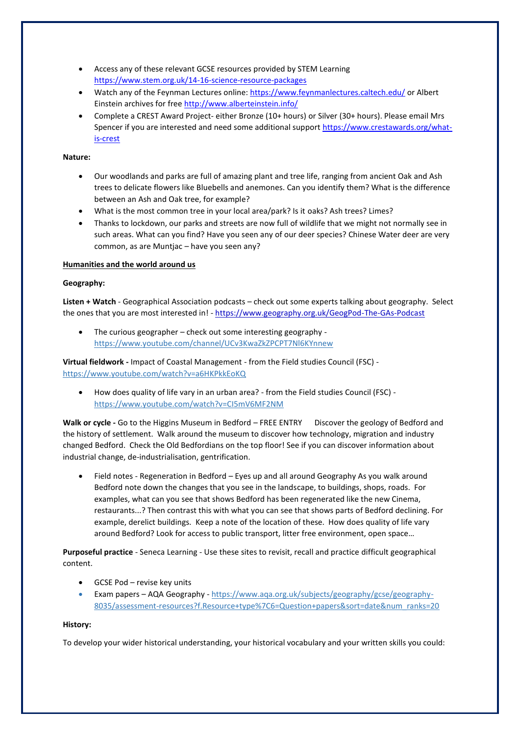- Access any of these relevant GCSE resources provided by STEM Learning <https://www.stem.org.uk/14-16-science-resource-packages>
- Watch any of the Feynman Lectures online[: https://www.feynmanlectures.caltech.edu/](https://www.feynmanlectures.caltech.edu/) or Albert Einstein archives for free<http://www.alberteinstein.info/>
- Complete a CREST Award Project- either Bronze (10+ hours) or Silver (30+ hours). Please email Mrs Spencer if you are interested and need some additional support [https://www.crestawards.org/what](https://www.crestawards.org/what-is-crest)[is-crest](https://www.crestawards.org/what-is-crest)

### **Nature:**

- Our woodlands and parks are full of amazing plant and tree life, ranging from ancient Oak and Ash trees to delicate flowers like Bluebells and anemones. Can you identify them? What is the difference between an Ash and Oak tree, for example?
- What is the most common tree in your local area/park? Is it oaks? Ash trees? Limes?
- Thanks to lockdown, our parks and streets are now full of wildlife that we might not normally see in such areas. What can you find? Have you seen any of our deer species? Chinese Water deer are very common, as are Muntjac – have you seen any?

# **Humanities and the world around us**

# **Geography:**

**Listen + Watch** - Geographical Association podcasts – check out some experts talking about geography. Select the ones that you are most interested in! - <https://www.geography.org.uk/GeogPod-The-GAs-Podcast>

• The curious geographer – check out some interesting geography https://www.youtube.com/channel/UCv3KwaZkZPCPT7Nl6KYnnew

# **Virtual fieldwork -** Impact of Coastal Management - from the Field studies Council (FSC) https://www.youtube.com/watch?v=a6HKPkkEoKQ

• How does quality of life vary in an urban area? - from the Field studies Council (FSC) https://www.youtube.com/watch?v=CI5mV6MF2NM

Walk or cycle - Go to the Higgins Museum in Bedford – FREE ENTRY Discover the geology of Bedford and the history of settlement. Walk around the museum to discover how technology, migration and industry changed Bedford. Check the Old Bedfordians on the top floor! See if you can discover information about industrial change, de-industrialisation, gentrification.

• Field notes - Regeneration in Bedford – Eyes up and all around Geography As you walk around Bedford note down the changes that you see in the landscape, to buildings, shops, roads. For examples, what can you see that shows Bedford has been regenerated like the new Cinema, restaurants...? Then contrast this with what you can see that shows parts of Bedford declining. For example, derelict buildings. Keep a note of the location of these. How does quality of life vary around Bedford? Look for access to public transport, litter free environment, open space…

**Purposeful practice** - Seneca Learning - Use these sites to revisit, recall and practice difficult geographical content.

- GCSE Pod revise key units
- Exam papers AQA Geography https://www.aqa.org.uk/subjects/geography/gcse/geography-8035/assessment-resources?f.Resource+type%7C6=Question+papers&sort=date&num\_ranks=20

#### **History:**

To develop your wider historical understanding, your historical vocabulary and your written skills you could: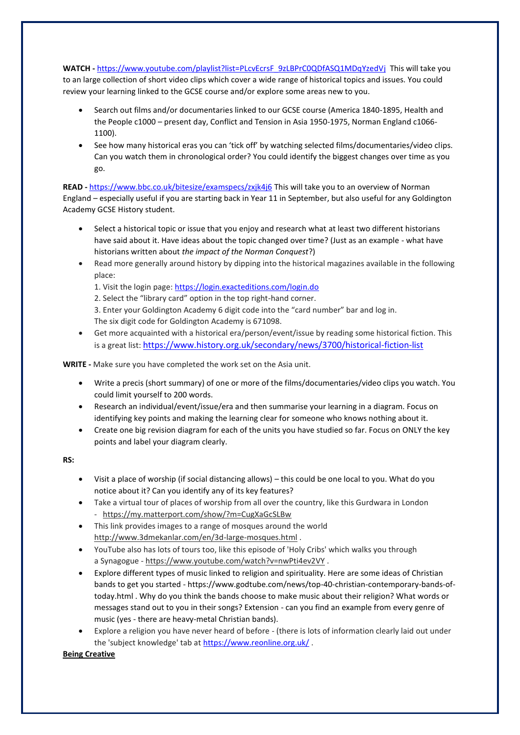WATCH - [https://www.youtube.com/playlist?list=PLcvEcrsF\\_9zLBPrC0QDfASQ1MDqYzedVj](https://www.youtube.com/playlist?list=PLcvEcrsF_9zLBPrC0QDfASQ1MDqYzedVj) This will take you to an large collection of short video clips which cover a wide range of historical topics and issues. You could review your learning linked to the GCSE course and/or explore some areas new to you.

- Search out films and/or documentaries linked to our GCSE course (America 1840-1895, Health and the People c1000 – present day, Conflict and Tension in Asia 1950-1975, Norman England c1066- 1100).
- See how many historical eras you can 'tick off' by watching selected films/documentaries/video clips. Can you watch them in chronological order? You could identify the biggest changes over time as you go.

**READ -** <https://www.bbc.co.uk/bitesize/examspecs/zxjk4j6> This will take you to an overview of Norman England – especially useful if you are starting back in Year 11 in September, but also useful for any Goldington Academy GCSE History student.

- Select a historical topic or issue that you enjoy and research what at least two different historians have said about it. Have ideas about the topic changed over time? (Just as an example - what have historians written about *the impact of the Norman Conquest*?)
- Read more generally around history by dipping into the historical magazines available in the following place:

1. Visit the login page: <https://login.exacteditions.com/login.do>

2. Select the "library card" option in the top right-hand corner. 3. Enter your Goldington Academy 6 digit code into the "card number" bar and log in. The six digit code for Goldington Academy is 671098.

• Get more acquainted with a historical era/person/event/issue by reading some historical fiction. This is a great list: <https://www.history.org.uk/secondary/news/3700/historical-fiction-list>

**WRITE -** Make sure you have completed the work set on the Asia unit.

- Write a precis (short summary) of one or more of the films/documentaries/video clips you watch. You could limit yourself to 200 words.
- Research an individual/event/issue/era and then summarise your learning in a diagram. Focus on identifying key points and making the learning clear for someone who knows nothing about it.
- Create one big revision diagram for each of the units you have studied so far. Focus on ONLY the key points and label your diagram clearly.

**RS:**

- Visit a place of worship (if social distancing allows) this could be one local to you. What do you notice about it? Can you identify any of its key features?
- Take a virtual tour of places of worship from all over the country, like this Gurdwara in London - <https://my.matterport.com/show/?m=CugXaGcSLBw>
- This link provides images to a range of mosques around the world <http://www.3dmekanlar.com/en/3d-large-mosques.html> .
- YouTube also has lots of tours too, like this episode of 'Holy Cribs' which walks you through a Synagogue - <https://www.youtube.com/watch?v=nwPti4ev2VY> .
- Explore different types of music linked to religion and spirituality. Here are some ideas of Christian bands to get you started - https://www.godtube.com/news/top-40-christian-contemporary-bands-oftoday.html . Why do you think the bands choose to make music about their religion? What words or messages stand out to you in their songs? Extension - can you find an example from every genre of music (yes - there are heavy-metal Christian bands).
- Explore a religion you have never heard of before (there is lots of information clearly laid out under the 'subject knowledge' tab at <https://www.reonline.org.uk/> .

**Being Creative**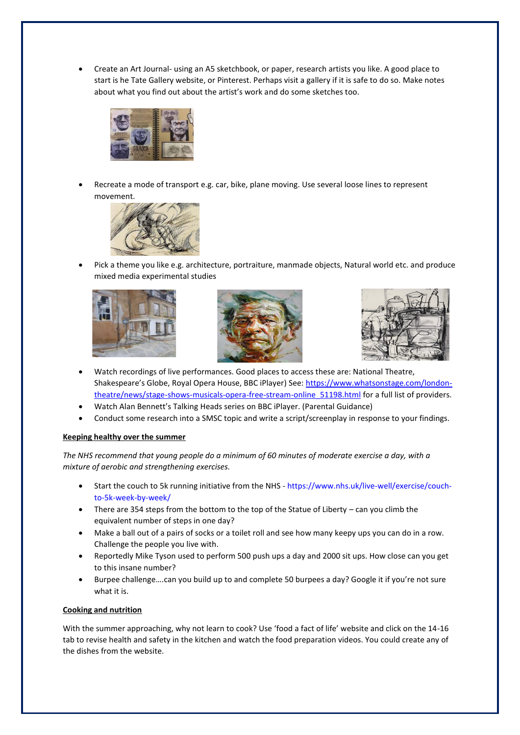• Create an Art Journal- using an A5 sketchbook, or paper, research artists you like. A good place to start is he Tate Gallery website, or Pinterest. Perhaps visit a gallery if it is safe to do so. Make notes about what you find out about the artist's work and do some sketches too.



• Recreate a mode of transport e.g. car, bike, plane moving. Use several loose lines to represent movement.



• Pick a theme you like e.g. architecture, portraiture, manmade objects, Natural world etc. and produce mixed media experimental studies







- Watch recordings of live performances. Good places to access these are: National Theatre, Shakespeare's Globe, Royal Opera House, BBC iPlayer) See: [https://www.whatsonstage.com/london](https://www.whatsonstage.com/london-theatre/news/stage-shows-musicals-opera-free-stream-online_51198.html)[theatre/news/stage-shows-musicals-opera-free-stream-online\\_51198.html](https://www.whatsonstage.com/london-theatre/news/stage-shows-musicals-opera-free-stream-online_51198.html) for a full list of providers.
- Watch Alan Bennett's Talking Heads series on BBC iPlayer. (Parental Guidance)
- Conduct some research into a SMSC topic and write a script/screenplay in response to your findings.

#### **Keeping healthy over the summer**

*The NHS recommend that young people do a minimum of 60 minutes of moderate exercise a day, with a mixture of aerobic and strengthening exercises.* 

- Start the couch to 5k running initiative from the NHS [https://www.nhs.uk/live-well/exercise/couch](https://www.nhs.uk/live-well/exercise/couch-to-5k-week-by-week/)[to-5k-week-by-week/](https://www.nhs.uk/live-well/exercise/couch-to-5k-week-by-week/)
- There are 354 steps from the bottom to the top of the Statue of Liberty can you climb the equivalent number of steps in one day?
- Make a ball out of a pairs of socks or a toilet roll and see how many keepy ups you can do in a row. Challenge the people you live with.
- Reportedly Mike Tyson used to perform 500 push ups a day and 2000 sit ups. How close can you get to this insane number?
- Burpee challenge....can you build up to and complete 50 burpees a day? Google it if you're not sure what it is.

#### **Cooking and nutrition**

With the summer approaching, why not learn to cook? Use 'food a fact of life' website and click on the 14-16 tab to revise health and safety in the kitchen and watch the food preparation videos. You could create any of the dishes from the website.